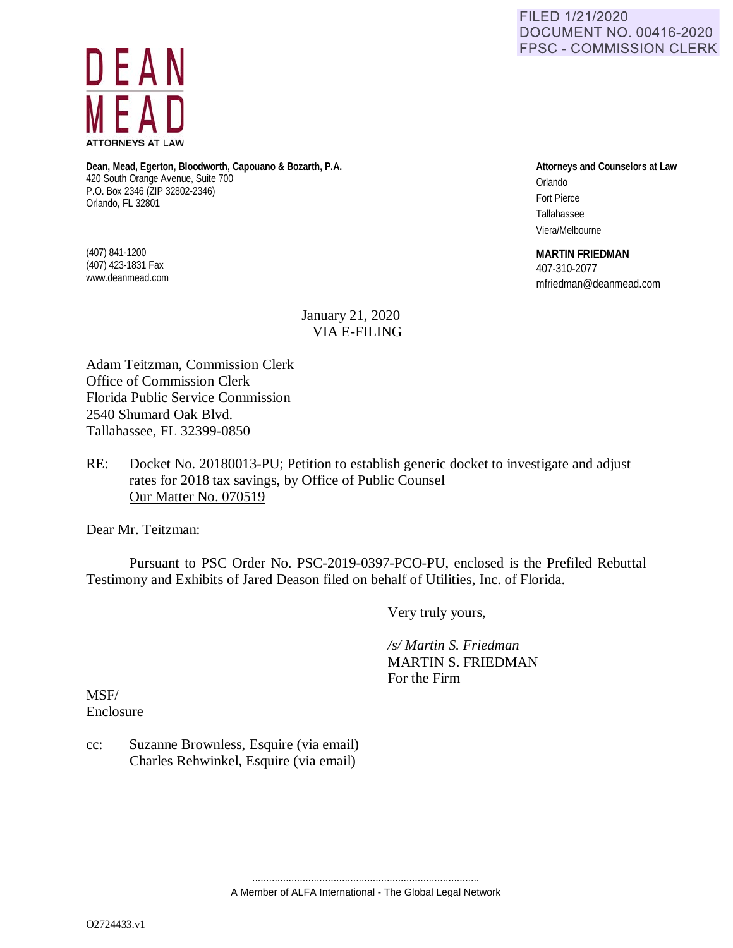FILED 1/21/2020 **DOCUMENT NO. 00416-2020 FPSC - COMMISSION CLERK** 



**Dean, Mead, Egerton, Bloodworth, Capouano & Bozarth, P.A.** 420 South Orange Avenue, Suite 700 P.O. Box 2346 (ZIP 32802-2346) Orlando, FL 32801

(407) 841-1200 (407) 423-1831 Fax www.deanmead.com **Attorneys and Counselors at Law** Orlando Fort Pierce Tallahassee Viera/Melbourne

**MARTIN FRIEDMAN**

407-310-2077 mfriedman@deanmead.com

## January 21, 2020 VIA E-FILING

Adam Teitzman, Commission Clerk Office of Commission Clerk Florida Public Service Commission 2540 Shumard Oak Blvd. Tallahassee, FL 32399-0850

RE: Docket No. 20180013-PU; Petition to establish generic docket to investigate and adjust rates for 2018 tax savings, by Office of Public Counsel Our Matter No. 070519

Dear Mr. Teitzman:

Pursuant to PSC Order No. PSC-2019-0397-PCO-PU, enclosed is the Prefiled Rebuttal Testimony and Exhibits of Jared Deason filed on behalf of Utilities, Inc. of Florida.

Very truly yours,

 */s/ Martin S. Friedman* MARTIN S. FRIEDMAN For the Firm

MSF/ Enclosure

cc: Suzanne Brownless, Esquire (via email) Charles Rehwinkel, Esquire (via email)

> ................................................................................. A Member of ALFA International - The Global Legal Network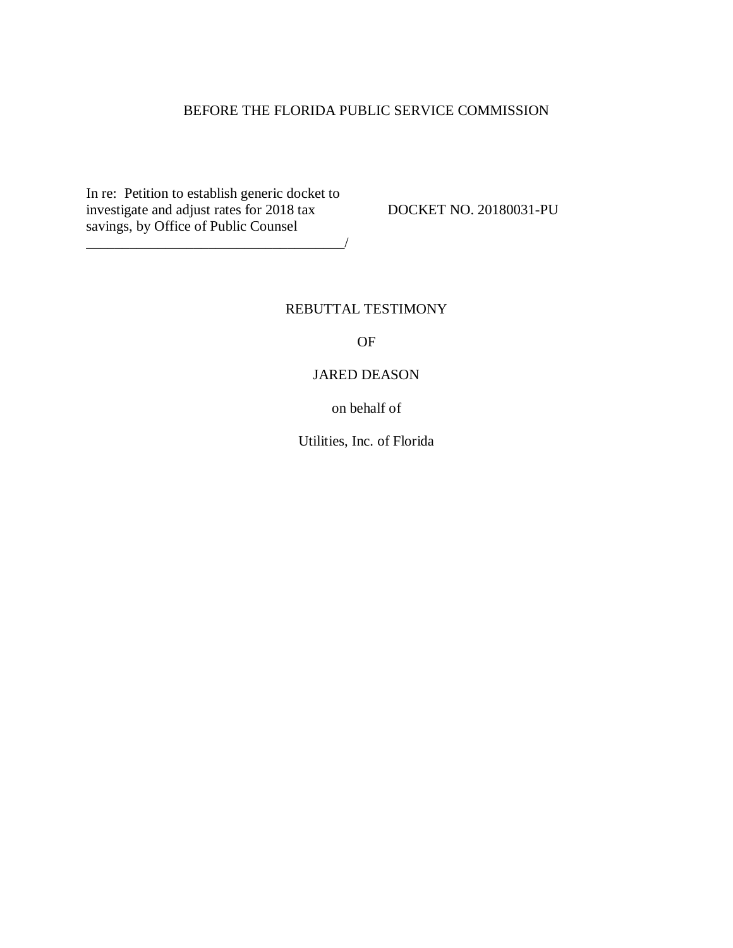## BEFORE THE FLORIDA PUBLIC SERVICE COMMISSION

In re: Petition to establish generic docket to investigate and adjust rates for 2018 tax DOCKET NO. 20180031-PU savings, by Office of Public Counsel

\_\_\_\_\_\_\_\_\_\_\_\_\_\_\_\_\_\_\_\_\_\_\_\_\_\_\_\_\_\_\_\_\_\_\_\_/

### REBUTTAL TESTIMONY

OF

### JARED DEASON

on behalf of

Utilities, Inc. of Florida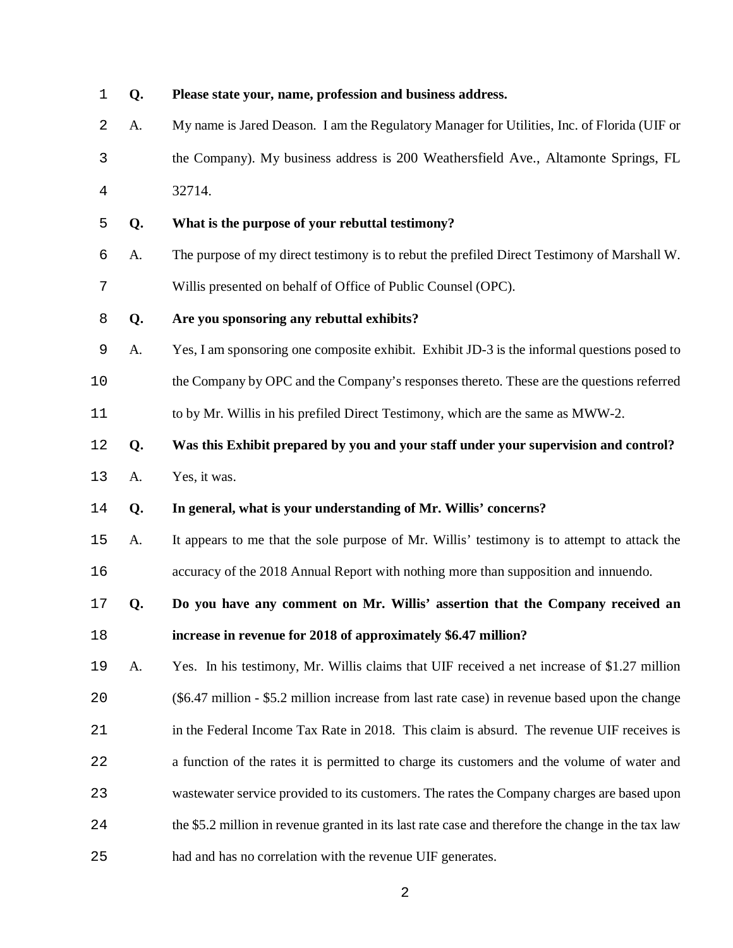**Q. Please state your, name, profession and business address.** A. My name is Jared Deason. I am the Regulatory Manager for Utilities, Inc. of Florida (UIF or the Company). My business address is 200 Weathersfield Ave., Altamonte Springs, FL 32714. **Q. What is the purpose of your rebuttal testimony?**  A. The purpose of my direct testimony is to rebut the prefiled Direct Testimony of Marshall W. Willis presented on behalf of Office of Public Counsel (OPC). **Q. Are you sponsoring any rebuttal exhibits?** A. Yes, I am sponsoring one composite exhibit. Exhibit JD-3 is the informal questions posed to the Company by OPC and the Company's responses thereto. These are the questions referred to by Mr. Willis in his prefiled Direct Testimony, which are the same as MWW-2. **Q. Was this Exhibit prepared by you and your staff under your supervision and control?**  A. Yes, it was. **Q. In general, what is your understanding of Mr. Willis' concerns?**  A. It appears to me that the sole purpose of Mr. Willis' testimony is to attempt to attack the accuracy of the 2018 Annual Report with nothing more than supposition and innuendo. **Q. Do you have any comment on Mr. Willis' assertion that the Company received an increase in revenue for 2018 of approximately \$6.47 million?**  A. Yes. In his testimony, Mr. Willis claims that UIF received a net increase of \$1.27 million (\$6.47 million - \$5.2 million increase from last rate case) in revenue based upon the change 21 in the Federal Income Tax Rate in 2018. This claim is absurd. The revenue UIF receives is a function of the rates it is permitted to charge its customers and the volume of water and wastewater service provided to its customers. The rates the Company charges are based upon the \$5.2 million in revenue granted in its last rate case and therefore the change in the tax law had and has no correlation with the revenue UIF generates.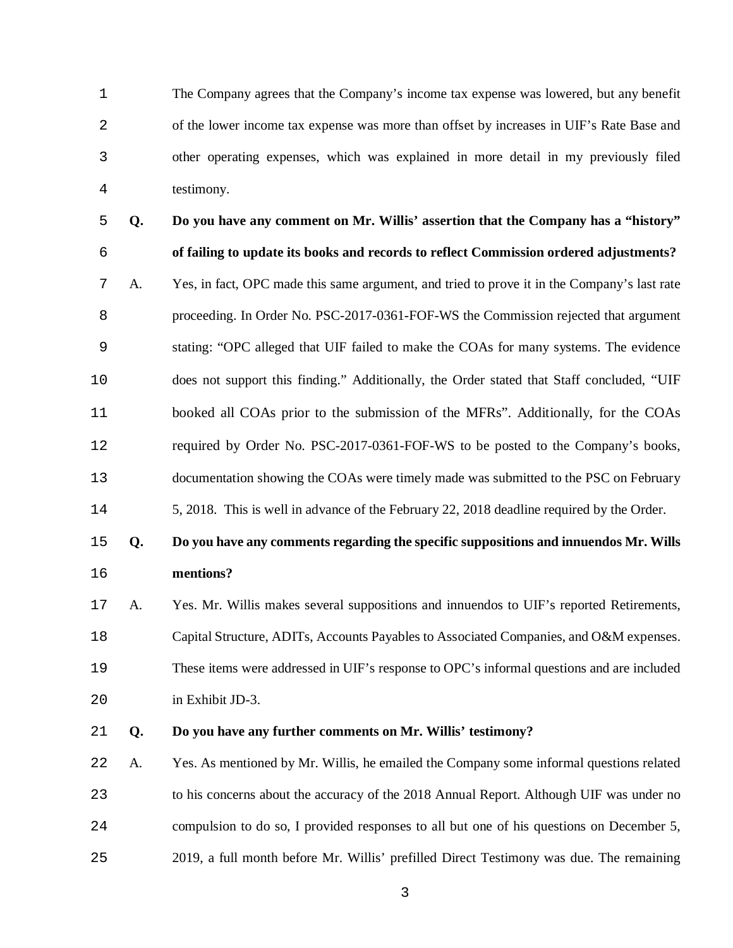The Company agrees that the Company's income tax expense was lowered, but any benefit of the lower income tax expense was more than offset by increases in UIF's Rate Base and other operating expenses, which was explained in more detail in my previously filed testimony.

**Q. Do you have any comment on Mr. Willis' assertion that the Company has a "history" of failing to update its books and records to reflect Commission ordered adjustments?**  A. Yes, in fact, OPC made this same argument, and tried to prove it in the Company's last rate proceeding. In Order No. PSC-2017-0361-FOF-WS the Commission rejected that argument stating: "OPC alleged that UIF failed to make the COAs for many systems. The evidence does not support this finding." Additionally, the Order stated that Staff concluded, "UIF booked all COAs prior to the submission of the MFRs". Additionally, for the COAs required by Order No. PSC-2017-0361-FOF-WS to be posted to the Company's books, documentation showing the COAs were timely made was submitted to the PSC on February 5, 2018. This is well in advance of the February 22, 2018 deadline required by the Order.

# **Q. Do you have any comments regarding the specific suppositions and innuendos Mr. Wills mentions?**

A. Yes. Mr. Willis makes several suppositions and innuendos to UIF's reported Retirements, Capital Structure, ADITs, Accounts Payables to Associated Companies, and O&M expenses. These items were addressed in UIF's response to OPC's informal questions and are included in Exhibit JD-3.

#### **Q. Do you have any further comments on Mr. Willis' testimony?**

A. Yes. As mentioned by Mr. Willis, he emailed the Company some informal questions related to his concerns about the accuracy of the 2018 Annual Report. Although UIF was under no compulsion to do so, I provided responses to all but one of his questions on December 5, 2019, a full month before Mr. Willis' prefilled Direct Testimony was due. The remaining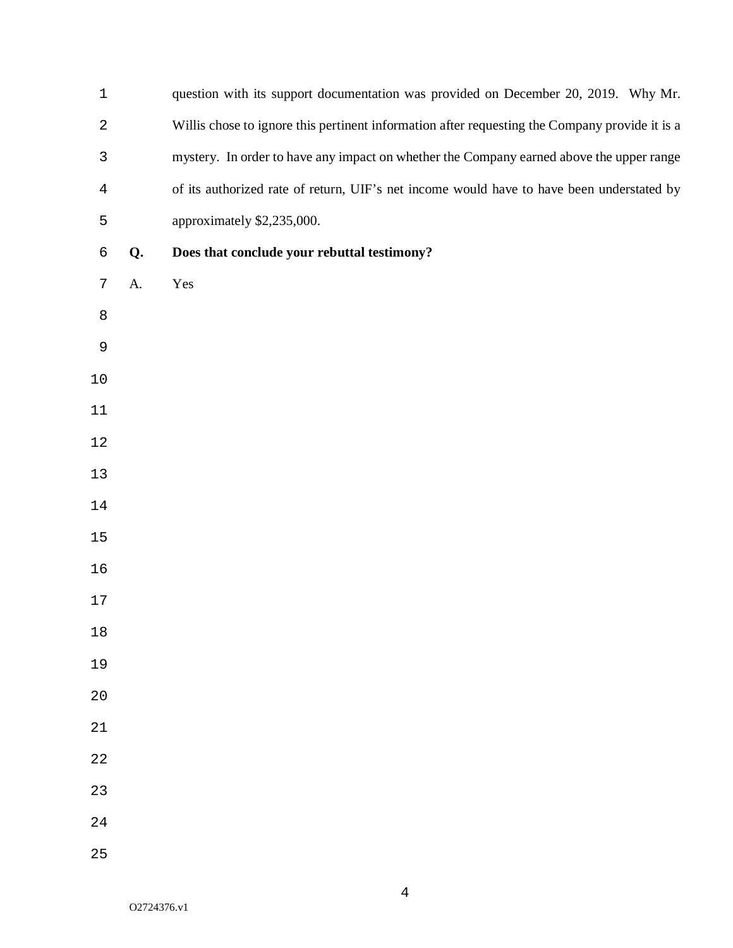| $\mathbf 1$    |    | question with its support documentation was provided on December 20, 2019. Why Mr.             |
|----------------|----|------------------------------------------------------------------------------------------------|
| $\overline{2}$ |    | Willis chose to ignore this pertinent information after requesting the Company provide it is a |
| $\mathsf{3}$   |    | mystery. In order to have any impact on whether the Company earned above the upper range       |
| $\overline{4}$ |    | of its authorized rate of return, UIF's net income would have to have been understated by      |
| 5              |    | approximately \$2,235,000.                                                                     |
| 6              | Q. | Does that conclude your rebuttal testimony?                                                    |
| 7              | A. | Yes                                                                                            |
| 8              |    |                                                                                                |
| $\mathsf 9$    |    |                                                                                                |
| $1\,0$         |    |                                                                                                |
| $11\,$         |    |                                                                                                |
| 12             |    |                                                                                                |
| 13             |    |                                                                                                |
| 14             |    |                                                                                                |
| $15$           |    |                                                                                                |
| 16             |    |                                                                                                |
| $17$           |    |                                                                                                |
| $1\,8$         |    |                                                                                                |
| 19             |    |                                                                                                |
| 20             |    |                                                                                                |
| 21             |    |                                                                                                |
| 22             |    |                                                                                                |
| 23             |    |                                                                                                |
| 24             |    |                                                                                                |
| 25             |    |                                                                                                |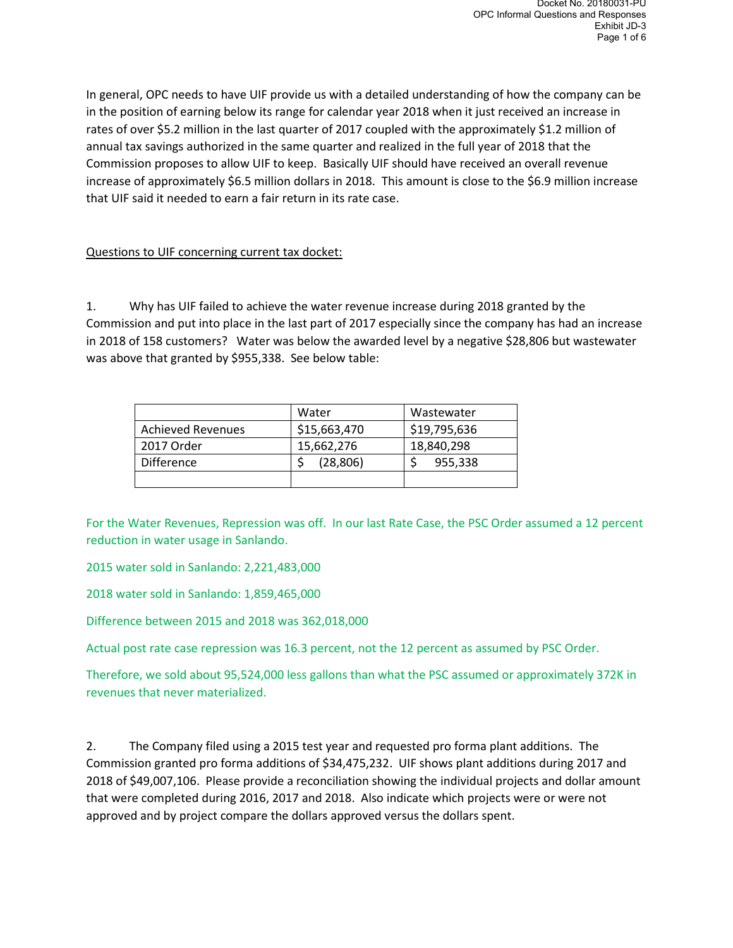In general, OPC needs to have UIF provide us with a detailed understanding of how the company can be in the position of earning below its range for calendar year 2018 when it just received an increase in rates of over \$5.2 million in the last quarter of 2017 coupled with the approximately \$1.2 million of annual tax savings authorized in the same quarter and realized in the full year of 2018 that the Commission proposes to allow UIF to keep. Basically UIF should have received an overall revenue increase of approximately \$6.5 million dollars in 2018. This amount is close to the \$6.9 million increase that UIF said it needed to earn a fair return in its rate case.

## Questions to UIF concerning current tax docket:

1. Why has UIF failed to achieve the water revenue increase during 2018 granted by the Commission and put into place in the last part of 2017 especially since the company has had an increase in 2018 of 158 customers? Water was below the awarded level by a negative \$28,806 but wastewater was above that granted by \$955,338. See below table:

|                          | Water        | Wastewater   |  |  |
|--------------------------|--------------|--------------|--|--|
| <b>Achieved Revenues</b> | \$15,663,470 | \$19,795,636 |  |  |
| 2017 Order               | 15,662,276   | 18,840,298   |  |  |
| <b>Difference</b>        | (28, 806)    | 955,338      |  |  |
|                          |              |              |  |  |

For the Water Revenues, Repression was off. In our last Rate Case, the PSC Order assumed a 12 percent reduction in water usage in Sanlando.

2015 water sold in Sanlando: 2,221,483,000

2018 water sold in Sanlando: 1,859,465,000

Difference between 2015 and 2018 was 362,018,000

Actual post rate case repression was 16.3 percent, not the 12 percent as assumed by PSC Order.

Therefore, we sold about 95,524,000 less gallons than what the PSC assumed or approximately 372K in revenues that never materialized.

2. The Company filed using a 2015 test year and requested pro forma plant additions. The Commission granted pro forma additions of \$34,475,232. UIF shows plant additions during 2017 and 2018 of \$49,007,106. Please provide a reconciliation showing the individual projects and dollar amount that were completed during 2016, 2017 and 2018. Also indicate which projects were or were not approved and by project compare the dollars approved versus the dollars spent.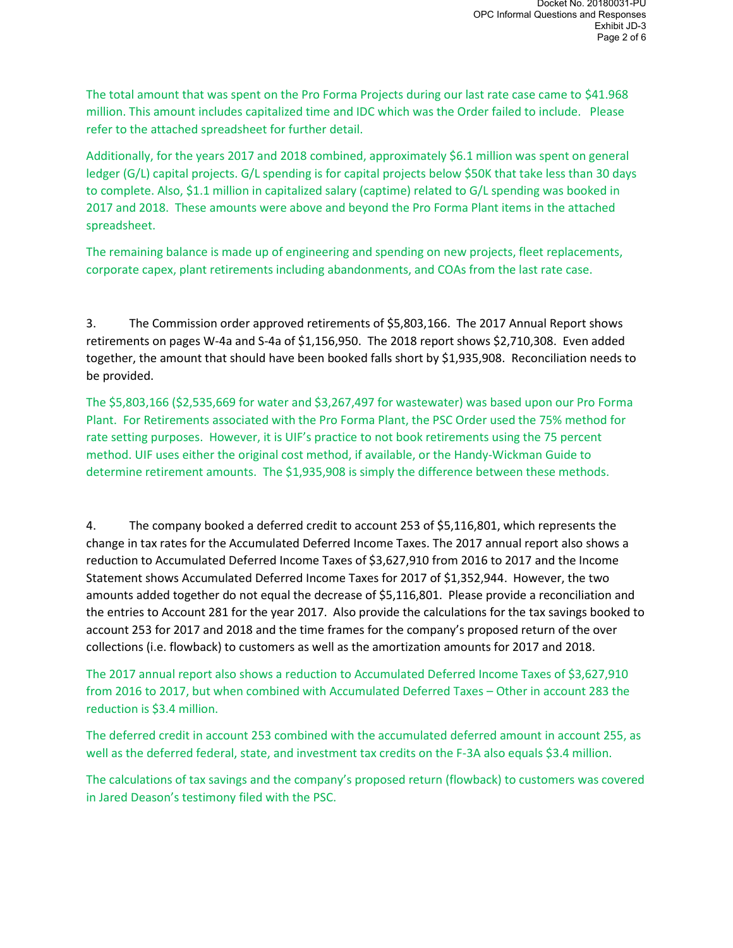The total amount that was spent on the Pro Forma Projects during our last rate case came to \$41.968 million. This amount includes capitalized time and IDC which was the Order failed to include. Please refer to the attached spreadsheet for further detail.

Additionally, for the years 2017 and 2018 combined, approximately \$6.1 million was spent on general ledger (G/L) capital projects. G/L spending is for capital projects below \$50K that take less than 30 days to complete. Also, \$1.1 million in capitalized salary (captime) related to G/L spending was booked in 2017 and 2018. These amounts were above and beyond the Pro Forma Plant items in the attached spreadsheet.

The remaining balance is made up of engineering and spending on new projects, fleet replacements, corporate capex, plant retirements including abandonments, and COAs from the last rate case.

3. The Commission order approved retirements of \$5,803,166. The 2017 Annual Report shows retirements on pages W-4a and S-4a of \$1,156,950. The 2018 report shows \$2,710,308. Even added together, the amount that should have been booked falls short by \$1,935,908. Reconciliation needs to be provided.

The \$5,803,166 (\$2,535,669 for water and \$3,267,497 for wastewater) was based upon our Pro Forma Plant. For Retirements associated with the Pro Forma Plant, the PSC Order used the 75% method for rate setting purposes. However, it is UIF's practice to not book retirements using the 75 percent method. UIF uses either the original cost method, if available, or the Handy-Wickman Guide to determine retirement amounts. The \$1,935,908 is simply the difference between these methods.

4. The company booked a deferred credit to account 253 of \$5,116,801, which represents the change in tax rates for the Accumulated Deferred Income Taxes. The 2017 annual report also shows a reduction to Accumulated Deferred Income Taxes of \$3,627,910 from 2016 to 2017 and the Income Statement shows Accumulated Deferred Income Taxes for 2017 of \$1,352,944. However, the two amounts added together do not equal the decrease of \$5,116,801. Please provide a reconciliation and the entries to Account 281 for the year 2017. Also provide the calculations for the tax savings booked to account 253 for 2017 and 2018 and the time frames for the company's proposed return of the over collections (i.e. flowback) to customers as well as the amortization amounts for 2017 and 2018.

The 2017 annual report also shows a reduction to Accumulated Deferred Income Taxes of \$3,627,910 from 2016 to 2017, but when combined with Accumulated Deferred Taxes – Other in account 283 the reduction is \$3.4 million.

The deferred credit in account 253 combined with the accumulated deferred amount in account 255, as well as the deferred federal, state, and investment tax credits on the F-3A also equals \$3.4 million.

The calculations of tax savings and the company's proposed return (flowback) to customers was covered in Jared Deason's testimony filed with the PSC.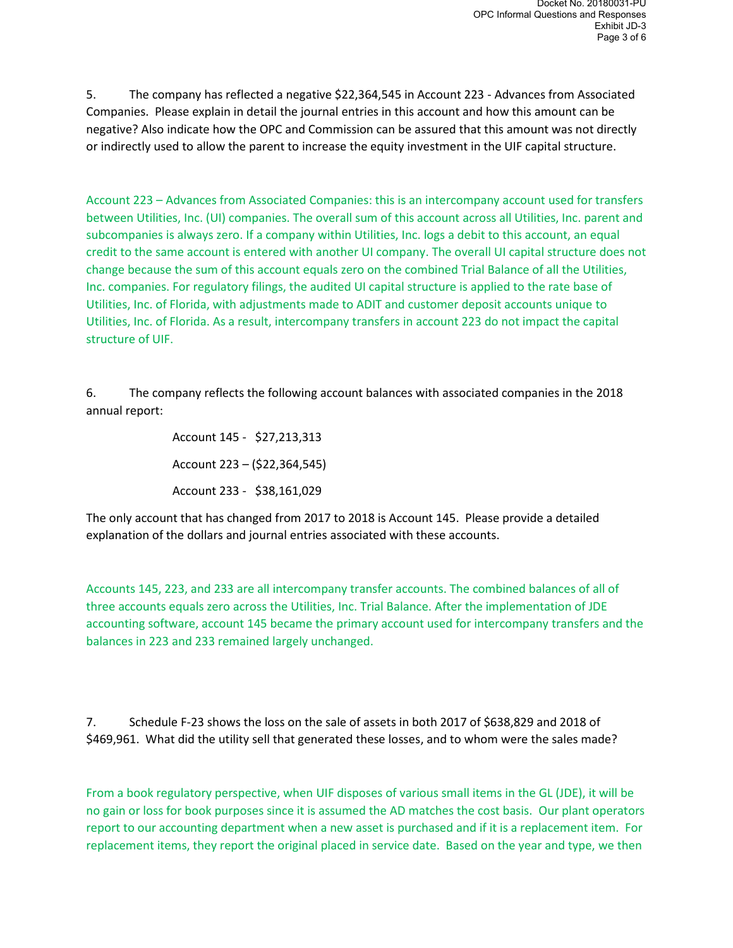5. The company has reflected a negative \$22,364,545 in Account 223 - Advances from Associated Companies. Please explain in detail the journal entries in this account and how this amount can be negative? Also indicate how the OPC and Commission can be assured that this amount was not directly or indirectly used to allow the parent to increase the equity investment in the UIF capital structure.

Account 223 – Advances from Associated Companies: this is an intercompany account used for transfers between Utilities, Inc. (UI) companies. The overall sum of this account across all Utilities, Inc. parent and subcompanies is always zero. If a company within Utilities, Inc. logs a debit to this account, an equal credit to the same account is entered with another UI company. The overall UI capital structure does not change because the sum of this account equals zero on the combined Trial Balance of all the Utilities, Inc. companies. For regulatory filings, the audited UI capital structure is applied to the rate base of Utilities, Inc. of Florida, with adjustments made to ADIT and customer deposit accounts unique to Utilities, Inc. of Florida. As a result, intercompany transfers in account 223 do not impact the capital structure of UIF.

6. The company reflects the following account balances with associated companies in the 2018 annual report:

> Account 145 - \$27,213,313 Account 223 – (\$22,364,545) Account 233 - \$38,161,029

The only account that has changed from 2017 to 2018 is Account 145. Please provide a detailed explanation of the dollars and journal entries associated with these accounts.

Accounts 145, 223, and 233 are all intercompany transfer accounts. The combined balances of all of three accounts equals zero across the Utilities, Inc. Trial Balance. After the implementation of JDE accounting software, account 145 became the primary account used for intercompany transfers and the balances in 223 and 233 remained largely unchanged.

7. Schedule F-23 shows the loss on the sale of assets in both 2017 of \$638,829 and 2018 of \$469,961. What did the utility sell that generated these losses, and to whom were the sales made?

From a book regulatory perspective, when UIF disposes of various small items in the GL (JDE), it will be no gain or loss for book purposes since it is assumed the AD matches the cost basis. Our plant operators report to our accounting department when a new asset is purchased and if it is a replacement item. For replacement items, they report the original placed in service date. Based on the year and type, we then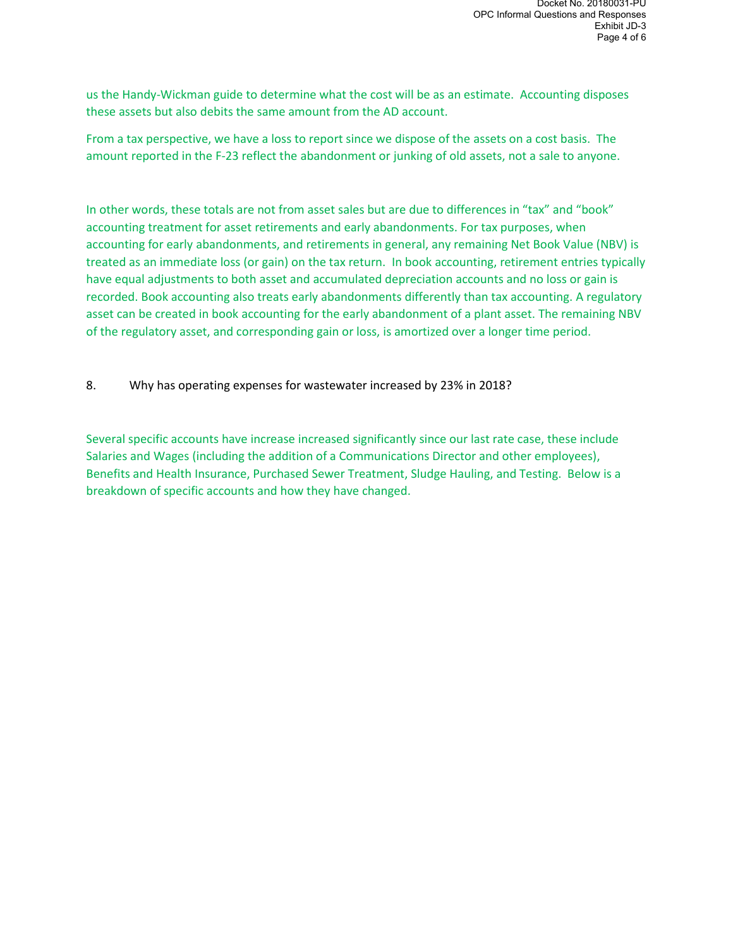us the Handy-Wickman guide to determine what the cost will be as an estimate. Accounting disposes these assets but also debits the same amount from the AD account.

From a tax perspective, we have a loss to report since we dispose of the assets on a cost basis. The amount reported in the F-23 reflect the abandonment or junking of old assets, not a sale to anyone.

In other words, these totals are not from asset sales but are due to differences in "tax" and "book" accounting treatment for asset retirements and early abandonments. For tax purposes, when accounting for early abandonments, and retirements in general, any remaining Net Book Value (NBV) is treated as an immediate loss (or gain) on the tax return. In book accounting, retirement entries typically have equal adjustments to both asset and accumulated depreciation accounts and no loss or gain is recorded. Book accounting also treats early abandonments differently than tax accounting. A regulatory asset can be created in book accounting for the early abandonment of a plant asset. The remaining NBV of the regulatory asset, and corresponding gain or loss, is amortized over a longer time period.

8. Why has operating expenses for wastewater increased by 23% in 2018?

Several specific accounts have increase increased significantly since our last rate case, these include Salaries and Wages (including the addition of a Communications Director and other employees), Benefits and Health Insurance, Purchased Sewer Treatment, Sludge Hauling, and Testing. Below is a breakdown of specific accounts and how they have changed.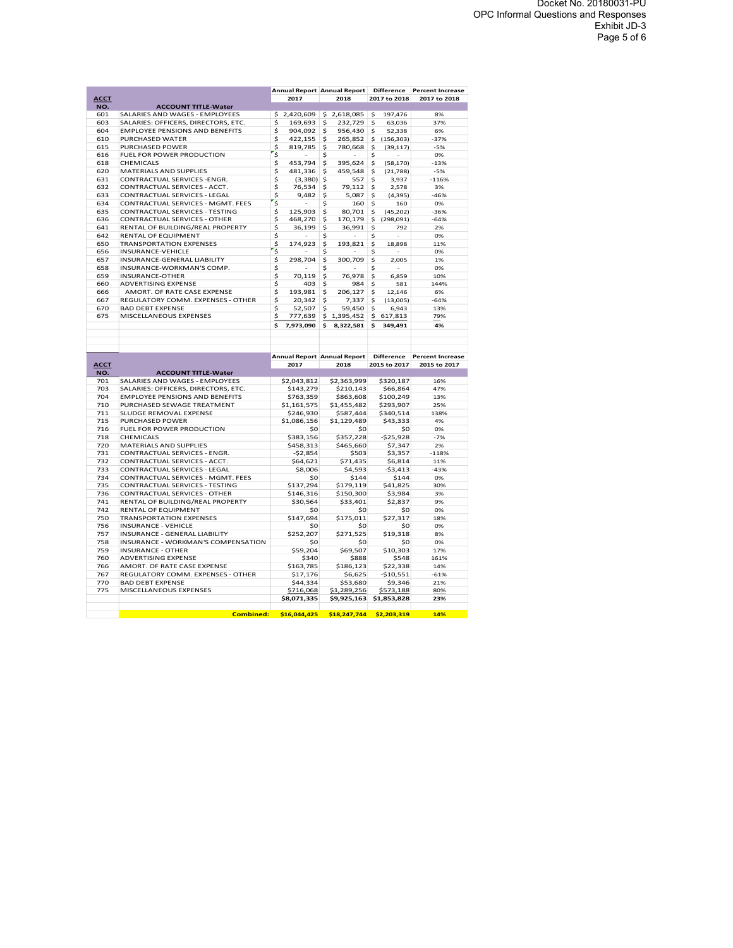|             |                                                                |                                    | Annual Report Annual Report | <b>Difference</b>                   | <b>Percent Increase</b> |
|-------------|----------------------------------------------------------------|------------------------------------|-----------------------------|-------------------------------------|-------------------------|
| <b>ACCT</b> |                                                                | 2017                               | 2018                        | 2017 to 2018                        | 2017 to 2018            |
| NO.         | <b>ACCOUNT TITLE-Water</b>                                     |                                    |                             |                                     |                         |
| 601         | SALARIES AND WAGES - EMPLOYEES                                 | 2,420,609<br>\$                    | \$<br>2,618,085             | 197,476<br>\$                       | 8%                      |
| 603<br>604  | SALARIES: OFFICERS, DIRECTORS, ETC.                            | \$<br>169,693                      | \$<br>232,729<br>\$         | \$<br>63,036                        | 37%                     |
| 610         | <b>EMPLOYEE PENSIONS AND BENEFITS</b><br>PURCHASED WATER       | \$<br>904,092<br>\$<br>422,155     | 956,430<br>\$<br>265,852    | \$<br>52,338                        | 6%<br>$-37%$            |
| 615         | PURCHASED POWER                                                | \$<br>819,785                      | \$<br>780,668               | \$<br>(156, 303)<br>\$<br>(39, 117) | $-5%$                   |
| 616         | FUEL FOR POWER PRODUCTION                                      | \$                                 | \$                          | \$                                  | 0%                      |
| 618         | <b>CHEMICALS</b>                                               | \$<br>453,794                      | \$<br>395,624               | \$<br>(58, 170)                     | $-13%$                  |
| 620         | MATERIALS AND SUPPLIES                                         | \$<br>481,336                      | \$<br>459,548               | \$<br>(21, 788)                     | $-5%$                   |
| 631         | CONTRACTUAL SERVICES - ENGR.                                   | \$<br>(3,380)                      | \$<br>557                   | \$<br>3,937                         | $-116%$                 |
| 632         | CONTRACTUAL SERVICES - ACCT.                                   | \$<br>76,534                       | \$<br>79,112                | \$<br>2,578                         | 3%                      |
| 633         | CONTRACTUAL SERVICES - LEGAL                                   | \$<br>9,482                        | \$<br>5,087                 | \$<br>(4, 395)                      | $-46%$                  |
| 634         | CONTRACTUAL SERVICES - MGMT. FEES                              | \$                                 | \$<br>160                   | \$<br>160                           | 0%                      |
| 635         | CONTRACTUAL SERVICES - TESTING                                 | \$<br>125,903                      | \$<br>80,701                | \$<br>(45, 202)                     | $-36%$                  |
| 636         | CONTRACTUAL SERVICES - OTHER                                   | \$<br>468,270                      | \$<br>170,179               | \$<br>(298,091)                     | $-64%$                  |
| 641         | RENTAL OF BUILDING/REAL PROPERTY                               | \$<br>36,199                       | \$<br>36,991                | \$<br>792                           | 2%                      |
| 642         | <b>RENTAL OF EQUIPMENT</b>                                     | \$                                 | \$                          | \$                                  | 0%                      |
| 650         | <b>TRANSPORTATION EXPENSES</b>                                 | \$<br>174,923                      | \$<br>193,821               | \$<br>18,898                        | 11%                     |
| 656         | INSURANCE-VEHICLE                                              | \$                                 | \$                          | \$                                  | 0%                      |
| 657         | INSURANCE-GENERAL LIABILITY                                    | \$<br>298,704                      | \$<br>300,709               | \$<br>2,005                         | 1%                      |
| 658         | INSURANCE-WORKMAN'S COMP.                                      | \$                                 | \$                          | \$<br>÷,                            | 0%                      |
| 659         | INSURANCE-OTHER                                                | \$<br>70,119                       | \$<br>76,978                | \$<br>6,859                         | 10%                     |
| 660         | <b>ADVERTISING EXPENSE</b>                                     | \$<br>403                          | \$<br>984                   | \$<br>581                           | 144%                    |
| 666         | AMORT. OF RATE CASE EXPENSE                                    | \$<br>193,981                      | \$<br>206,127               | \$<br>12,146                        | 6%                      |
| 667         | REGULATORY COMM. EXPENSES - OTHER                              | \$<br>20,342                       | \$<br>7,337                 | \$<br>(13,005)                      | $-64%$                  |
| 670         | <b>BAD DEBT EXPENSE</b>                                        | \$<br>52,507                       | \$<br>59,450                | \$<br>6,943                         | 13%                     |
| 675         | MISCELLANEOUS EXPENSES                                         | \$<br>777,639                      | \$<br>1,395,452             | \$<br>617,813                       | 79%                     |
|             |                                                                | \$<br>7,973,090                    | \$<br>8,322,581             | \$<br>349,491                       | 4%                      |
|             |                                                                |                                    |                             |                                     |                         |
|             |                                                                |                                    |                             |                                     |                         |
|             |                                                                |                                    |                             |                                     |                         |
|             |                                                                | <b>Annual Report Annual Report</b> |                             | <b>Difference</b>                   | <b>Percent Increase</b> |
| <b>ACCT</b> |                                                                | 2017                               | 2018                        | 2015 to 2017                        | 2015 to 2017            |
| NO.         | <b>ACCOUNT TITLE-Water</b>                                     |                                    |                             |                                     |                         |
| 701         | SALARIES AND WAGES - EMPLOYEES                                 | \$2,043,812                        | \$2,363,999                 | \$320,187                           | 16%                     |
| 703         | SALARIES: OFFICERS, DIRECTORS, ETC.                            | \$143,279                          | \$210,143                   | \$66,864                            | 47%                     |
| 704         | <b>EMPLOYEE PENSIONS AND BENEFITS</b>                          | \$763,359                          | \$863,608                   | \$100,249                           | 13%                     |
| 710         | PURCHASED SEWAGE TREATMENT                                     | \$1,161,575                        | \$1,455,482                 | \$293,907                           | 25%                     |
| 711         | SLUDGE REMOVAL EXPENSE                                         | \$246,930                          | \$587,444                   | \$340,514                           | 138%                    |
| 715         | PURCHASED POWER                                                | \$1,086,156                        | \$1,129,489                 | \$43,333                            | 4%                      |
| 716         | FUEL FOR POWER PRODUCTION                                      | \$0                                | \$0                         | \$0                                 | 0%                      |
| 718         | CHEMICALS                                                      | \$383,156                          | \$357,228                   | $-$25,928$                          | $-7%$                   |
| 720         | MATERIALS AND SUPPLIES                                         | \$458,313                          | \$465,660                   | \$7,347                             | 2%                      |
| 731         | CONTRACTUAL SERVICES - ENGR.                                   | $-$2,854$                          | \$503                       | \$3,357                             | $-118%$                 |
| 732         | CONTRACTUAL SERVICES - ACCT.                                   | \$64,621                           | \$71,435                    | \$6,814                             | 11%                     |
| 733         | CONTRACTUAL SERVICES - LEGAL                                   | \$8,006                            | \$4,593                     | $-$ \$3,413                         | $-43%$                  |
| 734         | CONTRACTUAL SERVICES - MGMT. FEES                              | \$0                                | \$144                       | \$144                               | 0%                      |
| 735<br>736  | CONTRACTUAL SERVICES - TESTING                                 | \$137,294                          | \$179,119                   | \$41,825                            | 30%                     |
|             | CONTRACTUAL SERVICES - OTHER                                   | \$146,316                          | \$150,300                   | \$3,984                             | 3%<br>9%                |
| 741<br>742  | RENTAL OF BUILDING/REAL PROPERTY<br><b>RENTAL OF EQUIPMENT</b> | \$30,564<br>\$0                    | \$33,401<br>\$0             | \$2,837<br>\$0                      | 0%                      |
| 750         | <b>TRANSPORTATION EXPENSES</b>                                 |                                    |                             |                                     | 18%                     |
| 756         | <b>INSURANCE - VEHICLE</b>                                     | \$147,694<br>\$0                   | \$175,011<br>\$0            | \$27,317<br>\$0                     | 0%                      |
| 757         | INSURANCE - GENERAL LIABILITY                                  | \$252,207                          | \$271,525                   | \$19,318                            | 8%                      |
| 758         | INSURANCE - WORKMAN'S COMPENSATION                             | \$0                                | \$0                         | \$0                                 | 0%                      |
| 759         | <b>INSURANCE - OTHER</b>                                       | \$59,204                           | \$69,507                    | \$10,303                            | 17%                     |
| 760         | <b>ADVERTISING EXPENSE</b>                                     | \$340                              | \$888                       | \$548                               | 161%                    |
| 766         | AMORT. OF RATE CASE EXPENSE                                    | \$163,785                          | \$186,123                   | \$22,338                            | 14%                     |
| 767         | REGULATORY COMM. EXPENSES - OTHER                              | \$17,176                           | \$6,625                     | $-$10,551$                          | $-61%$                  |
| 770         | <b>BAD DEBT EXPENSE</b>                                        | \$44,334                           | \$53,680                    | \$9,346                             | 21%                     |
| 775         | MISCELLANEOUS EXPENSES                                         | \$716,068                          | \$1,289,256                 | \$573,188                           | 80%                     |
|             |                                                                | \$8,071,335                        | \$9,925,163                 | \$1,853,828                         | 23%                     |
|             | <b>Combined:</b>                                               | \$16,044,425                       | \$18,247,744                | \$2,203,319                         | 14%                     |